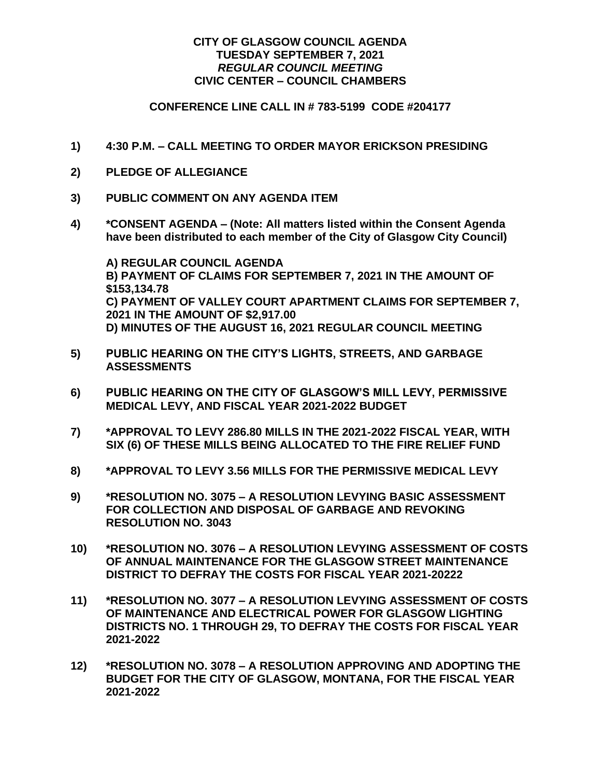## **CITY OF GLASGOW COUNCIL AGENDA TUESDAY SEPTEMBER 7, 2021** *REGULAR COUNCIL MEETING* **CIVIC CENTER – COUNCIL CHAMBERS**

## **CONFERENCE LINE CALL IN # 783-5199 CODE #204177**

- **1) 4:30 P.M. – CALL MEETING TO ORDER MAYOR ERICKSON PRESIDING**
- **2) PLEDGE OF ALLEGIANCE**
- **3) PUBLIC COMMENT ON ANY AGENDA ITEM**
- **4) \*CONSENT AGENDA – (Note: All matters listed within the Consent Agenda have been distributed to each member of the City of Glasgow City Council)**

**A) REGULAR COUNCIL AGENDA B) PAYMENT OF CLAIMS FOR SEPTEMBER 7, 2021 IN THE AMOUNT OF \$153,134.78 C) PAYMENT OF VALLEY COURT APARTMENT CLAIMS FOR SEPTEMBER 7, 2021 IN THE AMOUNT OF \$2,917.00 D) MINUTES OF THE AUGUST 16, 2021 REGULAR COUNCIL MEETING**

- **5) PUBLIC HEARING ON THE CITY'S LIGHTS, STREETS, AND GARBAGE ASSESSMENTS**
- **6) PUBLIC HEARING ON THE CITY OF GLASGOW'S MILL LEVY, PERMISSIVE MEDICAL LEVY, AND FISCAL YEAR 2021-2022 BUDGET**
- **7) \*APPROVAL TO LEVY 286.80 MILLS IN THE 2021-2022 FISCAL YEAR, WITH SIX (6) OF THESE MILLS BEING ALLOCATED TO THE FIRE RELIEF FUND**
- **8) \*APPROVAL TO LEVY 3.56 MILLS FOR THE PERMISSIVE MEDICAL LEVY**
- **9) \*RESOLUTION NO. 3075 – A RESOLUTION LEVYING BASIC ASSESSMENT FOR COLLECTION AND DISPOSAL OF GARBAGE AND REVOKING RESOLUTION NO. 3043**
- **10) \*RESOLUTION NO. 3076 – A RESOLUTION LEVYING ASSESSMENT OF COSTS OF ANNUAL MAINTENANCE FOR THE GLASGOW STREET MAINTENANCE DISTRICT TO DEFRAY THE COSTS FOR FISCAL YEAR 2021-20222**
- **11) \*RESOLUTION NO. 3077 – A RESOLUTION LEVYING ASSESSMENT OF COSTS OF MAINTENANCE AND ELECTRICAL POWER FOR GLASGOW LIGHTING DISTRICTS NO. 1 THROUGH 29, TO DEFRAY THE COSTS FOR FISCAL YEAR 2021-2022**
- **12) \*RESOLUTION NO. 3078 – A RESOLUTION APPROVING AND ADOPTING THE BUDGET FOR THE CITY OF GLASGOW, MONTANA, FOR THE FISCAL YEAR 2021-2022**